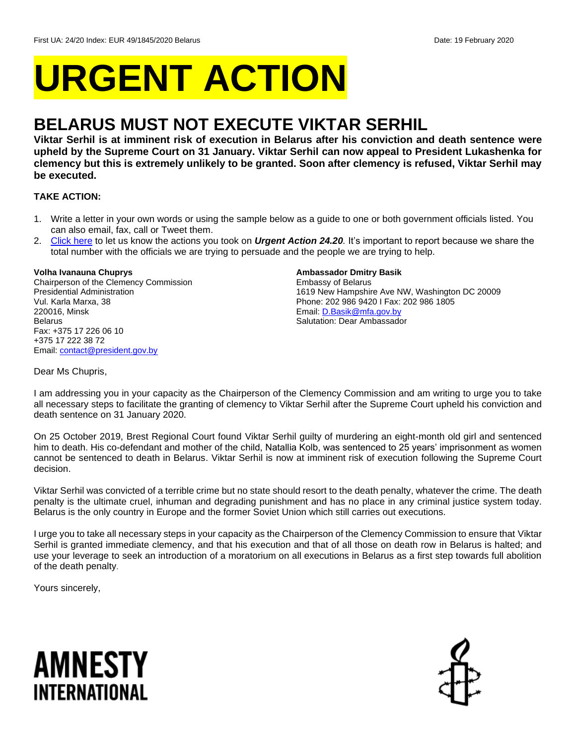# **URGENT ACTION**

## **BELARUS MUST NOT EXECUTE VIKTAR SERHIL**

**Viktar Serhil is at imminent risk of execution in Belarus after his conviction and death sentence were upheld by the Supreme Court on 31 January. Viktar Serhil can now appeal to President Lukashenka for clemency but this is extremely unlikely to be granted. Soon after clemency is refused, Viktar Serhil may be executed.** 

#### **TAKE ACTION:**

- 1. Write a letter in your own words or using the sample below as a guide to one or both government officials listed. You can also email, fax, call or Tweet them.
- 2. [Click here](https://www.amnestyusa.org/report-urgent-actions/) to let us know the actions you took on *Urgent Action 24.20.* It's important to report because we share the total number with the officials we are trying to persuade and the people we are trying to help.

#### **Volha Ivanauna Chuprys**

Chairperson of the Clemency Commission Presidential Administration Vul. Karla Marxa, 38 220016, Minsk Belarus Fax: +375 17 226 06 10 +375 17 222 38 72 Email[: contact@president.gov.by](mailto:contact@president.gov.by)

#### **Ambassador Dmitry Basik**

Embassy of Belarus 1619 New Hampshire Ave NW, Washington DC 20009 Phone: 202 986 9420 I Fax: 202 986 1805 Email[: D.Basik@mfa.gov.by](mailto:D.Basik@mfa.gov.by) Salutation: Dear Ambassador

#### Dear Ms Chupris,

I am addressing you in your capacity as the Chairperson of the Clemency Commission and am writing to urge you to take all necessary steps to facilitate the granting of clemency to Viktar Serhil after the Supreme Court upheld his conviction and death sentence on 31 January 2020.

On 25 October 2019, Brest Regional Court found Viktar Serhil guilty of murdering an eight-month old girl and sentenced him to death. His co-defendant and mother of the child, Natallia Kolb, was sentenced to 25 years' imprisonment as women cannot be sentenced to death in Belarus. Viktar Serhil is now at imminent risk of execution following the Supreme Court decision.

Viktar Serhil was convicted of a terrible crime but no state should resort to the death penalty, whatever the crime. The death penalty is the ultimate cruel, inhuman and degrading punishment and has no place in any criminal justice system today. Belarus is the only country in Europe and the former Soviet Union which still carries out executions.

I urge you to take all necessary steps in your capacity as the Chairperson of the Clemency Commission to ensure that Viktar Serhil is granted immediate clemency, and that his execution and that of all those on death row in Belarus is halted; and use your leverage to seek an introduction of a moratorium on all executions in Belarus as a first step towards full abolition of the death penalty.

Yours sincerely,